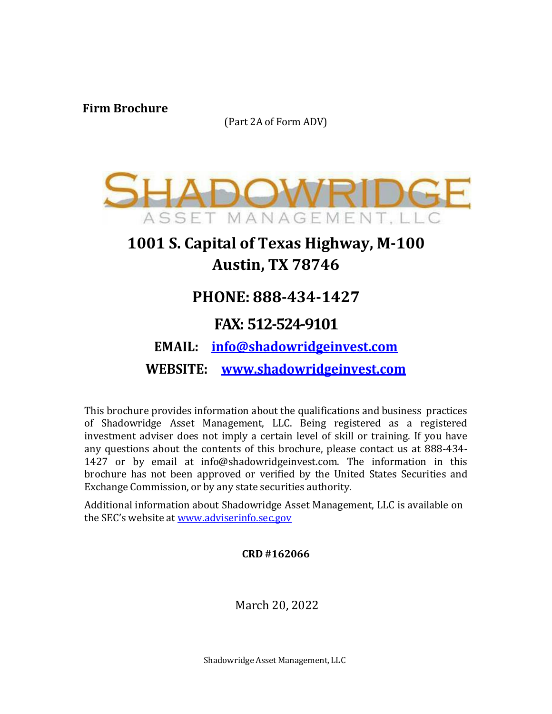## <span id="page-0-0"></span>**Firm Brochure**

(Part 2A of Form ADV)



# **1001 S. Capital of Texas Highway, M-100 Austin, TX 78746**

# **PHONE: 888-434-1427**

# **FAX: 512-524-9101**

# **EMAIL: [info@shadowridgeinvest.com](mailto:info@shadowridgeinvest.com)**

**WEBSITE: [www.shadowridgeinvest.com](http://www.shadowridgeinvest.com/)**

This brochure provides information about the qualifications and business practices of Shadowridge Asset Management, LLC. Being registered as a registered investment adviser does not imply a certain level of skill or training. If you have any questions about the contents of this brochure, please contact us at 888-434- 1427 or by email at [info@shadowridgeinvest.com.](mailto:info@shadowridgeinvest.com) The information in this brochure has not been approved or verified by the United States Securities and Exchange Commission, or by any state securities authority.

Additional information about Shadowridge Asset Management, LLC is available on the SEC's website at [www.adviserinfo.sec.gov](http://www.adviserinfo.sec.gov/)

## **CRD #162066**

March 20, 2022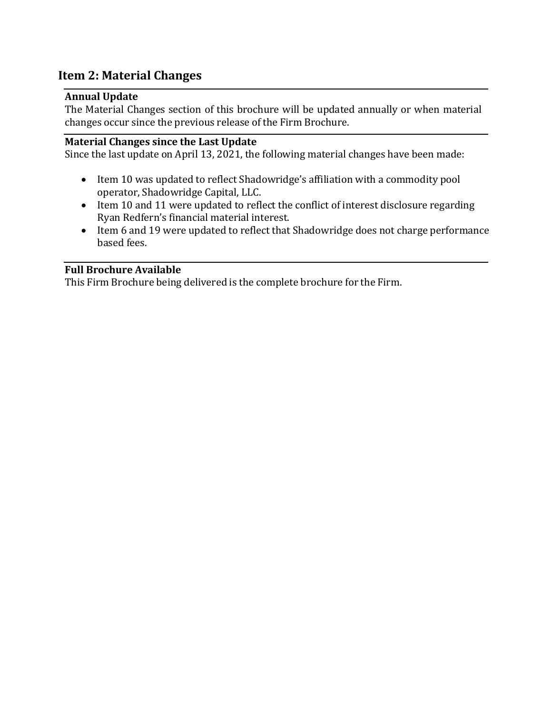# <span id="page-1-0"></span>**Item 2: Material Changes**

#### <span id="page-1-1"></span>**Annual Update**

The Material Changes section of this brochure will be updated annually or when material changes occur since the previous release of the Firm Brochure.

#### <span id="page-1-2"></span>**Material Changes since the Last Update**

Since the last update on April 13, 2021, the following material changes have been made:

- Item 10 was updated to reflect Shadowridge's affiliation with a commodity pool operator, Shadowridge Capital, LLC.
- Item 10 and 11 were updated to reflect the conflict of interest disclosure regarding Ryan Redfern's financial material interest.
- Item 6 and 19 were updated to reflect that Shadowridge does not charge performance based fees.

#### <span id="page-1-3"></span>**Full Brochure Available**

This Firm Brochure being delivered is the complete brochure for the Firm.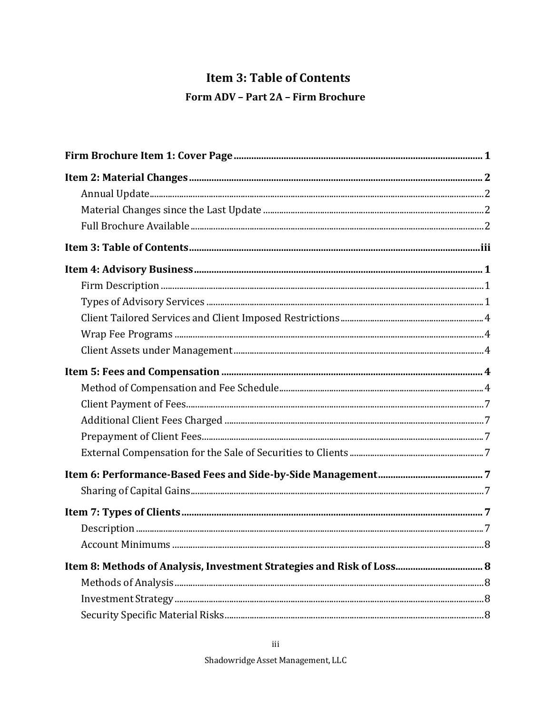# **Item 3: Table of Contents** Form ADV - Part 2A - Firm Brochure

<span id="page-2-0"></span>

| Item 8: Methods of Analysis, Investment Strategies and Risk of Loss 8 |  |
|-----------------------------------------------------------------------|--|
|                                                                       |  |
|                                                                       |  |
|                                                                       |  |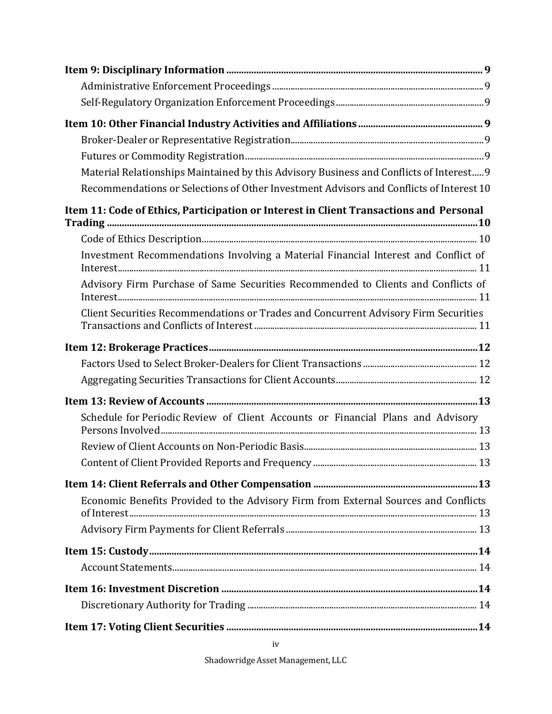| Material Relationships Maintained by this Advisory Business and Conflicts of Interest 9 |
|-----------------------------------------------------------------------------------------|
| Recommendations or Selections of Other Investment Advisors and Conflicts of Interest 10 |
| Item 11: Code of Ethics, Participation or Interest in Client Transactions and Personal  |
|                                                                                         |
| Investment Recommendations Involving a Material Financial Interest and Conflict of      |
| Advisory Firm Purchase of Same Securities Recommended to Clients and Conflicts of       |
| Client Securities Recommendations or Trades and Concurrent Advisory Firm Securities     |
|                                                                                         |
|                                                                                         |
|                                                                                         |
|                                                                                         |
| Schedule for Periodic Review of Client Accounts or Financial Plans and Advisory         |
|                                                                                         |
|                                                                                         |
|                                                                                         |
| Economic Benefits Provided to the Advisory Firm from External Sources and Conflicts     |
|                                                                                         |
|                                                                                         |
|                                                                                         |
|                                                                                         |
|                                                                                         |
|                                                                                         |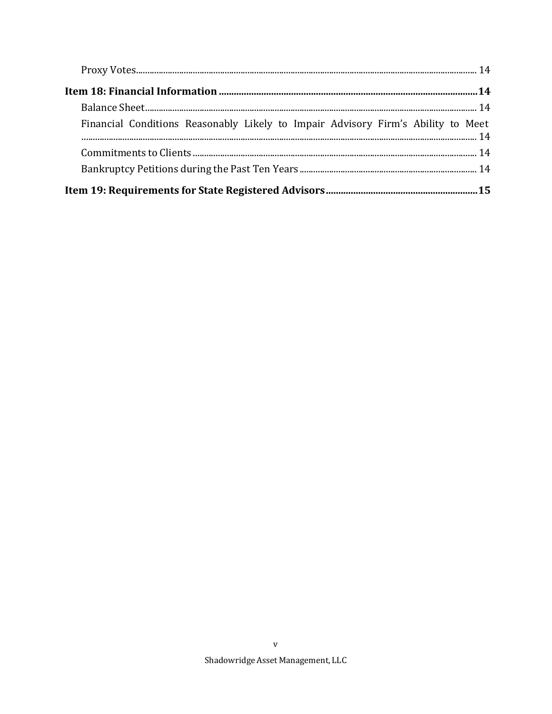| Financial Conditions Reasonably Likely to Impair Advisory Firm's Ability to Meet |  |
|----------------------------------------------------------------------------------|--|
|                                                                                  |  |
|                                                                                  |  |
|                                                                                  |  |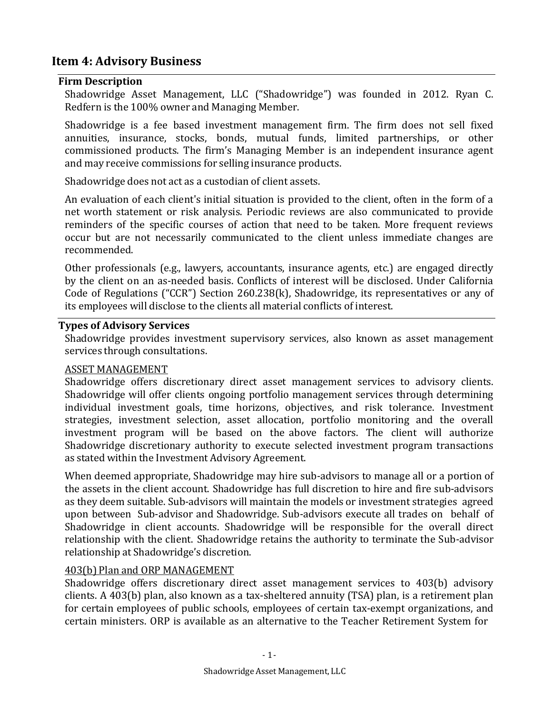# <span id="page-5-0"></span>**Item 4: Advisory Business**

#### <span id="page-5-1"></span>**Firm Description**

Shadowridge Asset Management, LLC ("Shadowridge") was founded in 2012. Ryan C. Redfern is the 100% owner and Managing Member.

Shadowridge is a fee based investment management firm. The firm does not sell fixed annuities, insurance, stocks, bonds, mutual funds, limited partnerships, or other commissioned products. The firm's Managing Member is an independent insurance agent and may receive commissions for selling insurance products.

Shadowridge does not act as a custodian of client assets.

An evaluation of each client's initial situation is provided to the client, often in the form of a net worth statement or risk analysis. Periodic reviews are also communicated to provide reminders of the specific courses of action that need to be taken. More frequent reviews occur but are not necessarily communicated to the client unless immediate changes are recommended.

Other professionals (e.g., lawyers, accountants, insurance agents, etc.) are engaged directly by the client on an as-needed basis. Conflicts of interest will be disclosed. Under California Code of Regulations ("CCR") Section 260.238(k), Shadowridge, its representatives or any of its employees will disclose to the clients all material conflicts of interest.

#### <span id="page-5-2"></span>**Types of Advisory Services**

Shadowridge provides investment supervisory services, also known as asset management services through consultations.

#### ASSET MANAGEMENT

Shadowridge offers discretionary direct asset management services to advisory clients. Shadowridge will offer clients ongoing portfolio management services through determining individual investment goals, time horizons, objectives, and risk tolerance. Investment strategies, investment selection, asset allocation, portfolio monitoring and the overall investment program will be based on the above factors. The client will authorize Shadowridge discretionary authority to execute selected investment program transactions as stated within the Investment Advisory Agreement.

When deemed appropriate, Shadowridge may hire sub-advisors to manage all or a portion of the assets in the client account. Shadowridge has full discretion to hire and fire sub-advisors as they deem suitable. Sub-advisors will maintain the models or investment strategies agreed upon between Sub-advisor and Shadowridge. Sub-advisors execute all trades on behalf of Shadowridge in client accounts. Shadowridge will be responsible for the overall direct relationship with the client. Shadowridge retains the authority to terminate the Sub-advisor relationship at Shadowridge's discretion.

#### 403(b) Plan and ORP MANAGEMENT

Shadowridge offers discretionary direct asset management services to 403(b) advisory clients. A 403(b) plan, also known as a tax-sheltered annuity (TSA) plan, is a retirement plan for certain employees of public schools, employees of certain tax-exempt organizations, and certain ministers. ORP is available as an alternative to the Teacher Retirement System for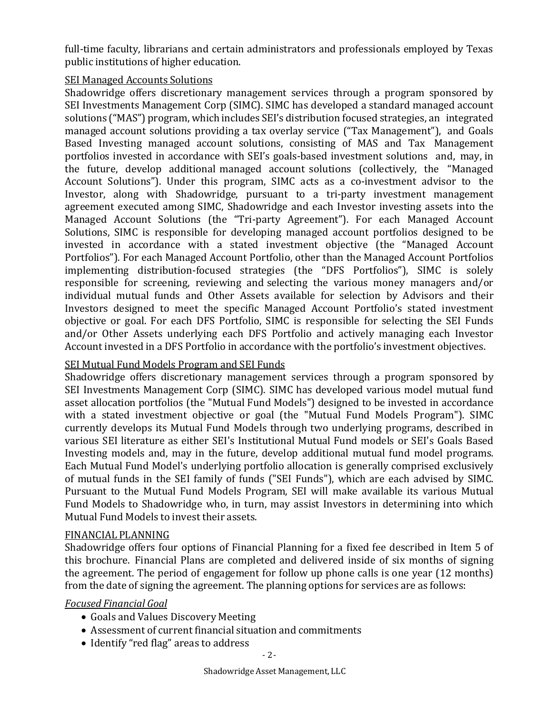full-time faculty, librarians and certain administrators and professionals employed by Texas public institutions of higher education.

#### SEI Managed Accounts Solutions

Shadowridge offers discretionary management services through a program sponsored by SEI Investments Management Corp (SIMC). SIMC has developed a standard managed account solutions ("MAS") program, which includes SEI's distribution focused strategies, an integrated managed account solutions providing a tax overlay service ("Tax Management"), and Goals Based Investing managed account solutions, consisting of MAS and Tax Management portfolios invested in accordance with SEI's goals-based investment solutions and, may, in the future, develop additional managed account solutions (collectively, the "Managed Account Solutions"). Under this program, SIMC acts as a co-investment advisor to the Investor, along with Shadowridge, pursuant to a tri-party investment management agreement executed among SIMC, Shadowridge and each Investor investing assets into the Managed Account Solutions (the "Tri-party Agreement"). For each Managed Account Solutions, SIMC is responsible for developing managed account portfolios designed to be invested in accordance with a stated investment objective (the "Managed Account Portfolios"). For each Managed Account Portfolio, other than the Managed Account Portfolios implementing distribution-focused strategies (the "DFS Portfolios"), SIMC is solely responsible for screening, reviewing and selecting the various money managers and/or individual mutual funds and Other Assets available for selection by Advisors and their Investors designed to meet the specific Managed Account Portfolio's stated investment objective or goal. For each DFS Portfolio, SIMC is responsible for selecting the SEI Funds and/or Other Assets underlying each DFS Portfolio and actively managing each Investor Account invested in a DFS Portfolio in accordance with the portfolio's investment objectives.

## SEI Mutual Fund Models Program and SEI Funds

Shadowridge offers discretionary management services through a program sponsored by SEI Investments Management Corp (SIMC). SIMC has developed various model mutual fund asset allocation portfolios (the "Mutual Fund Models") designed to be invested in accordance with a stated investment objective or goal (the "Mutual Fund Models Program"). SIMC currently develops its Mutual Fund Models through two underlying programs, described in various SEI literature as either SEI's Institutional Mutual Fund models or SEI's Goals Based Investing models and, may in the future, develop additional mutual fund model programs. Each Mutual Fund Model's underlying portfolio allocation is generally comprised exclusively of mutual funds in the SEI family of funds ("SEI Funds"), which are each advised by SIMC. Pursuant to the Mutual Fund Models Program, SEI will make available its various Mutual Fund Models to Shadowridge who, in turn, may assist Investors in determining into which Mutual Fund Models to invest their assets.

#### FINANCIAL PLANNING

Shadowridge offers four options of Financial Planning for a fixed fee described in Item 5 of this brochure. Financial Plans are completed and delivered inside of six months of signing the agreement. The period of engagement for follow up phone calls is one year (12 months) from the date of signing the agreement. The planning options for services are as follows:

#### *Focused Financial Goal*

- Goals and Values Discovery Meeting
- Assessment of current financial situation and commitments
- Identify "red flag" areas to address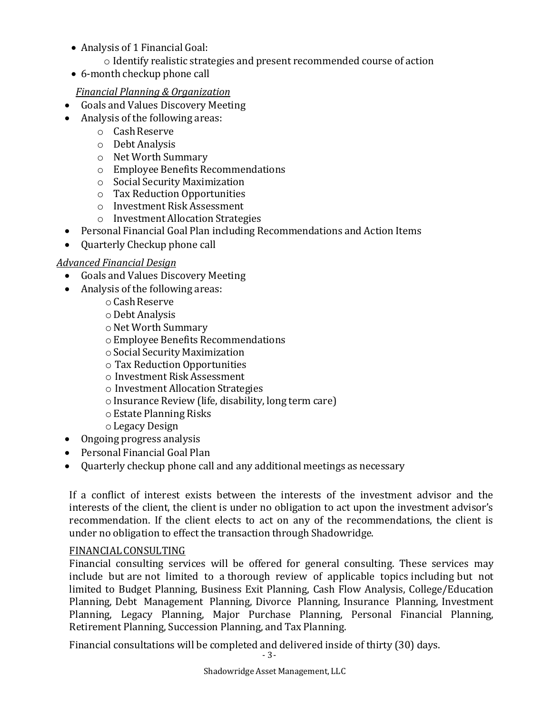- Analysis of 1 Financial Goal:
	- o Identify realistic strategies and present recommended course of action
- 6-month checkup phone call

# *Financial Planning & Organization*

- Goals and Values Discovery Meeting
- Analysis of the following areas:
	- o CashReserve
	- o Debt Analysis
	- o Net Worth Summary
	- o Employee Benefits Recommendations
	- o Social Security Maximization
	- o Tax Reduction Opportunities
	- o Investment Risk Assessment
	- o Investment Allocation Strategies
- Personal Financial Goal Plan including Recommendations and Action Items
- Ouarterly Checkup phone call

## *Advanced Financial Design*

- Goals and Values Discovery Meeting
- Analysis of the following areas:
	- o CashReserve
	- oDebt Analysis
	- o Net Worth Summary
	- oEmployee Benefits Recommendations
	- $\circ$  Social Security Maximization
	- o Tax Reduction Opportunities
	- o Investment Risk Assessment
	- o Investment Allocation Strategies
	- o Insurance Review (life, disability, long term care)
	- oEstate Planning Risks
	- oLegacy Design
- Ongoing progress analysis
- Personal Financial Goal Plan
- Quarterly checkup phone call and any additional meetings as necessary

If a conflict of interest exists between the interests of the investment advisor and the interests of the client, the client is under no obligation to act upon the investment advisor's recommendation. If the client elects to act on any of the recommendations, the client is under no obligation to effect the transaction through Shadowridge.

## FINANCIALCONSULTING

Financial consulting services will be offered for general consulting. These services may include but are not limited to a thorough review of applicable topics including but not limited to Budget Planning, Business Exit Planning, Cash Flow Analysis, College/Education Planning, Debt Management Planning, Divorce Planning, Insurance Planning, Investment Planning, Legacy Planning, Major Purchase Planning, Personal Financial Planning, Retirement Planning, Succession Planning, and Tax Planning.

Financial consultations will be completed and delivered inside of thirty (30) days.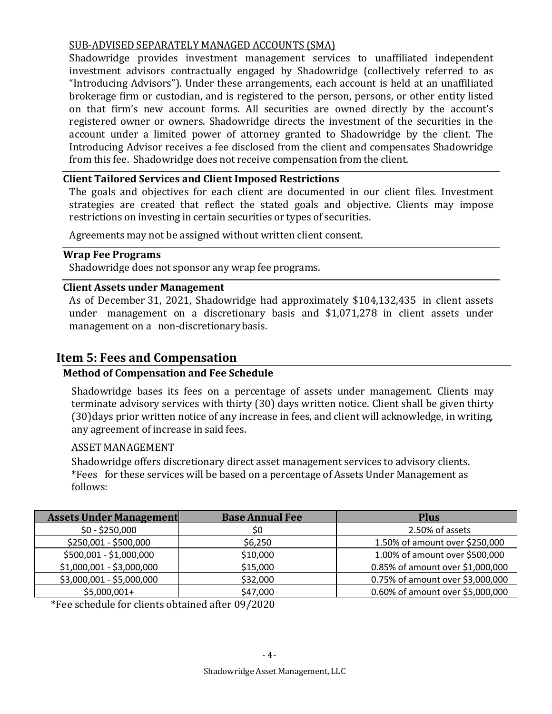### SUB‐ADVISED SEPARATELY MANAGED ACCOUNTS (SMA)

Shadowridge provides investment management services to unaffiliated independent investment advisors contractually engaged by Shadowridge (collectively referred to as "Introducing Advisors"). Under these arrangements, each account is held at an unaffiliated brokerage firm or custodian, and is registered to the person, persons, or other entity listed on that firm's new account forms. All securities are owned directly by the account's registered owner or owners. Shadowridge directs the investment of the securities in the account under a limited power of attorney granted to Shadowridge by the client. The Introducing Advisor receives a fee disclosed from the client and compensates Shadowridge from this fee. Shadowridge does not receive compensation from the client.

#### <span id="page-8-0"></span>**Client Tailored Services and Client Imposed Restrictions**

The goals and objectives for each client are documented in our client files. Investment strategies are created that reflect the stated goals and objective. Clients may impose restrictions on investing in certain securities or types of securities.

Agreements may not be assigned without written client consent.

#### <span id="page-8-1"></span>**Wrap Fee Programs**

Shadowridge does not sponsor any wrap fee programs.

#### <span id="page-8-2"></span>**Client Assets under Management**

As of December 31, 2021, Shadowridge had approximately \$104,132,435 in client assets under management on a discretionary basis and \$1,071,278 in client assets under management on a non-discretionarybasis.

## <span id="page-8-3"></span>**Item 5: Fees and Compensation**

#### <span id="page-8-4"></span>**Method of Compensation and Fee Schedule**

Shadowridge bases its fees on a percentage of assets under management. Clients may terminate advisory services with thirty (30) days written notice. Client shall be given thirty (30)days prior written notice of any increase in fees, and client will acknowledge, in writing, any agreement of increase in said fees.

#### ASSET MANAGEMENT

Shadowridge offers discretionary direct asset management services to advisory clients. \*Fees for these services will be based on a percentage of Assets Under Management as follows:

| <b>Assets Under Management</b> | <b>Base Annual Fee</b> | <b>Plus</b>                      |
|--------------------------------|------------------------|----------------------------------|
| $$0 - $250,000$                | \$0                    | 2.50% of assets                  |
| \$250,001 - \$500,000          | \$6,250                | 1.50% of amount over \$250,000   |
| \$500,001 - \$1,000,000        | \$10,000               | 1.00% of amount over \$500,000   |
| \$1,000,001 - \$3,000,000      | \$15,000               | 0.85% of amount over \$1,000,000 |
| \$3,000,001 - \$5,000,000      | \$32,000               | 0.75% of amount over \$3,000,000 |
| $$5,000,001+$                  | \$47,000               | 0.60% of amount over \$5,000,000 |

\*Fee schedule for clients obtained after 09/2020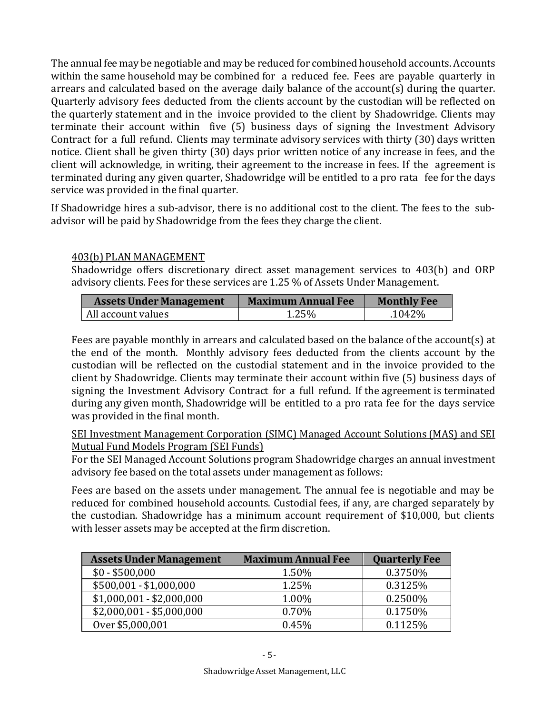The annual fee may be negotiable and may be reduced for combined household accounts. Accounts within the same household may be combined for a reduced fee. Fees are payable quarterly in arrears and calculated based on the average daily balance of the account(s) during the quarter. Quarterly advisory fees deducted from the clients account by the custodian will be reflected on the quarterly statement and in the invoice provided to the client by Shadowridge. Clients may terminate their account within five (5) business days of signing the Investment Advisory Contract for a full refund. Clients may terminate advisory services with thirty (30) days written notice. Client shall be given thirty (30) days prior written notice of any increase in fees, and the client will acknowledge, in writing, their agreement to the increase in fees. If the agreement is terminated during any given quarter, Shadowridge will be entitled to a pro rata fee for the days service was provided in the final quarter.

If Shadowridge hires a sub-advisor, there is no additional cost to the client. The fees to the subadvisor will be paid by Shadowridge from the fees they charge the client.

#### 403(b) PLAN MANAGEMENT

Shadowridge offers discretionary direct asset management services to 403(b) and ORP advisory clients. Fees for these services are 1.25 % of Assets Under Management.

| <b>Assets Under Management</b> | <b>Maximum Annual Fee</b> | <b>Monthly Fee</b> |
|--------------------------------|---------------------------|--------------------|
| All account values             | 1.25%                     | .1042%             |

Fees are payable monthly in arrears and calculated based on the balance of the account(s) at the end of the month. Monthly advisory fees deducted from the clients account by the custodian will be reflected on the custodial statement and in the invoice provided to the client by Shadowridge. Clients may terminate their account within five (5) business days of signing the Investment Advisory Contract for a full refund. If the agreement is terminated during any given month, Shadowridge will be entitled to a pro rata fee for the days service was provided in the final month.

SEI Investment Management Corporation (SIMC) Managed Account Solutions (MAS) and SEI Mutual Fund Models Program (SEI Funds)

For the SEI Managed Account Solutions program Shadowridge charges an annual investment advisory fee based on the total assets under management as follows:

Fees are based on the assets under management. The annual fee is negotiable and may be reduced for combined household accounts. Custodial fees, if any, are charged separately by the custodian. Shadowridge has a minimum account requirement of \$10,000, but clients with lesser assets may be accepted at the firm discretion.

| <b>Assets Under Management</b> | <b>Maximum Annual Fee</b> | <b>Quarterly Fee</b> |
|--------------------------------|---------------------------|----------------------|
| $$0 - $500,000$                | 1.50%                     | 0.3750%              |
| $$500,001 - $1,000,000$        | 1.25%                     | 0.3125%              |
| $$1,000,001 - $2,000,000$      | 1.00%                     | 0.2500%              |
| $$2,000,001 - $5,000,000$      | 0.70%                     | 0.1750%              |
| Over \$5,000,001               | 0.45%                     | 0.1125%              |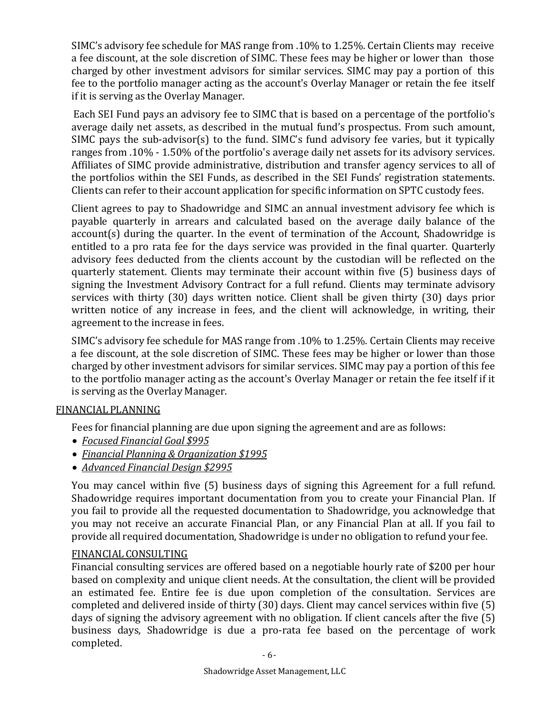SIMC's advisory fee schedule for MAS range from .10% to 1.25%. Certain Clients may receive a fee discount, at the sole discretion of SIMC. These fees may be higher or lower than those charged by other investment advisors for similar services. SIMC may pay a portion of this fee to the portfolio manager acting as the account's Overlay Manager or retain the fee itself if it is serving as the Overlay Manager.

Each SEI Fund pays an advisory fee to SIMC that is based on a percentage of the portfolio's average daily net assets, as described in the mutual fund's prospectus. From such amount, SIMC pays the sub-advisor(s) to the fund. SIMC's fund advisory fee varies, but it typically ranges from .10% - 1.50% of the portfolio's average daily net assets for its advisory services. Affiliates of SIMC provide administrative, distribution and transfer agency services to all of the portfolios within the SEI Funds, as described in the SEI Funds' registration statements. Clients can refer to their account application for specific information on SPTC custody fees.

Client agrees to pay to Shadowridge and SIMC an annual investment advisory fee which is payable quarterly in arrears and calculated based on the average daily balance of the account(s) during the quarter. In the event of termination of the Account, Shadowridge is entitled to a pro rata fee for the days service was provided in the final quarter. Quarterly advisory fees deducted from the clients account by the custodian will be reflected on the quarterly statement. Clients may terminate their account within five (5) business days of signing the Investment Advisory Contract for a full refund. Clients may terminate advisory services with thirty (30) days written notice. Client shall be given thirty (30) days prior written notice of any increase in fees, and the client will acknowledge, in writing, their agreement to the increase in fees.

SIMC's advisory fee schedule for MAS range from .10% to 1.25%. Certain Clients may receive a fee discount, at the sole discretion of SIMC. These fees may be higher or lower than those charged by other investment advisors for similar services. SIMC may pay a portion of this fee to the portfolio manager acting as the account's Overlay Manager or retain the fee itself if it is serving as the Overlay Manager.

#### FINANCIAL PLANNING

Fees for financial planning are due upon signing the agreement and are as follows:

- *Focused Financial Goal \$995*
- *Financial Planning & Organization \$1995*
- *Advanced Financial Design \$2995*

You may cancel within five (5) business days of signing this Agreement for a full refund. Shadowridge requires important documentation from you to create your Financial Plan. If you fail to provide all the requested documentation to Shadowridge, you acknowledge that you may not receive an accurate Financial Plan, or any Financial Plan at all. If you fail to provide all required documentation, Shadowridge is under no obligation to refund your fee.

#### FINANCIALCONSULTING

Financial consulting services are offered based on a negotiable hourly rate of \$200 per hour based on complexity and unique client needs. At the consultation, the client will be provided an estimated fee. Entire fee is due upon completion of the consultation. Services are completed and delivered inside of thirty (30) days. Client may cancel services within five (5) days of signing the advisory agreement with no obligation. If client cancels after the five (5) business days, Shadowridge is due a pro-rata fee based on the percentage of work completed.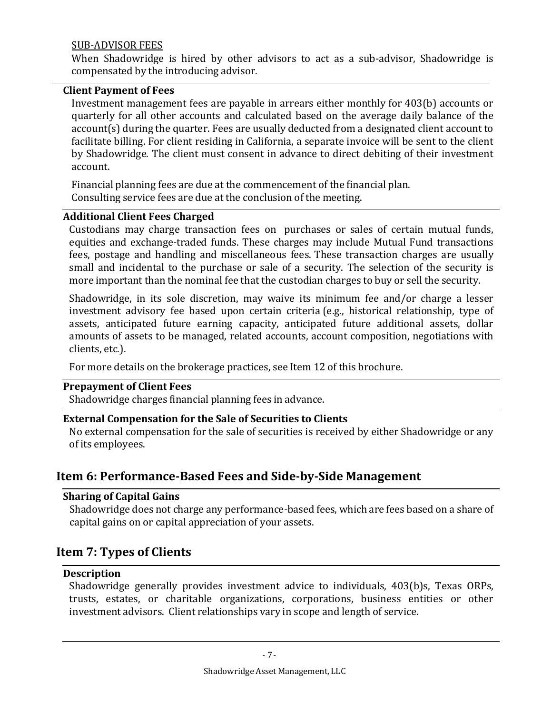#### SUB-ADVISOR FEES

When Shadowridge is hired by other advisors to act as a sub-advisor, Shadowridge is compensated by the introducing advisor.

#### <span id="page-11-0"></span>**Client Payment of Fees**

Investment management fees are payable in arrears either monthly for 403(b) accounts or quarterly for all other accounts and calculated based on the average daily balance of the account(s) during the quarter. Fees are usually deducted from a designated client account to facilitate billing. For client residing in California, a separate invoice will be sent to the client by Shadowridge. The client must consent in advance to direct debiting of their investment account.

Financial planning fees are due at the commencement of the financial plan. Consulting service fees are due at the conclusion of the meeting.

#### <span id="page-11-1"></span>**Additional Client Fees Charged**

Custodians may charge transaction fees on purchases or sales of certain mutual funds, equities and exchange-traded funds. These charges may include Mutual Fund transactions fees, postage and handling and miscellaneous fees. These transaction charges are usually small and incidental to the purchase or sale of a security. The selection of the security is more important than the nominal fee that the custodian charges to buy or sell the security.

Shadowridge, in its sole discretion, may waive its minimum fee and/or charge a lesser investment advisory fee based upon certain criteria (e.g., historical relationship, type of assets, anticipated future earning capacity, anticipated future additional assets, dollar amounts of assets to be managed, related accounts, account composition, negotiations with clients, etc.).

For more details on the brokerage practices, see Item 12 of this brochure.

#### <span id="page-11-2"></span>**Prepayment of Client Fees**

Shadowridge charges financial planning fees in advance.

#### <span id="page-11-3"></span>**External Compensation for the Sale of Securities to Clients**

No external compensation for the sale of securities is received by either Shadowridge or any of its employees.

## <span id="page-11-4"></span>**Item 6: Performance-Based Fees and Side-by-Side Management**

#### <span id="page-11-5"></span>**Sharing of Capital Gains**

Shadowridge does not charge any performance-based fees, which are fees based on a share of capital gains on or capital appreciation of your assets.

## <span id="page-11-6"></span>**Item 7: Types of Clients**

#### <span id="page-11-7"></span>**Description**

Shadowridge generally provides investment advice to individuals, 403(b)s, Texas ORPs, trusts, estates, or charitable organizations, corporations, business entities or other investment advisors. Client relationships vary in scope and length of service.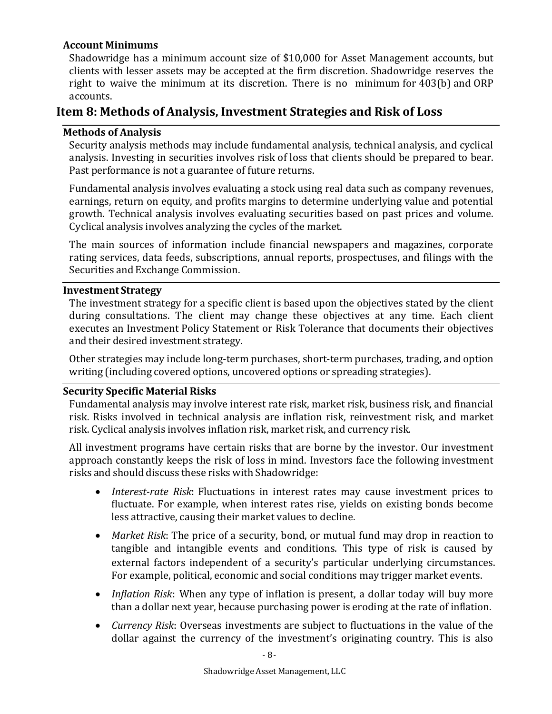#### <span id="page-12-0"></span>**Account Minimums**

Shadowridge has a minimum account size of \$10,000 for Asset Management accounts, but clients with lesser assets may be accepted at the firm discretion. Shadowridge reserves the right to waive the minimum at its discretion. There is no minimum for 403(b) and ORP accounts.

## <span id="page-12-1"></span>**Item 8: Methods of Analysis, Investment Strategies and Risk of Loss**

#### <span id="page-12-2"></span>**Methods of Analysis**

Security analysis methods may include fundamental analysis, technical analysis, and cyclical analysis. Investing in securities involves risk of loss that clients should be prepared to bear. Past performance is not a guarantee of future returns.

Fundamental analysis involves evaluating a stock using real data such as company revenues, earnings, return on equity, and profits margins to determine underlying value and potential growth. Technical analysis involves evaluating securities based on past prices and volume. Cyclical analysis involves analyzing the cycles of the market.

The main sources of information include financial newspapers and magazines, corporate rating services, data feeds, subscriptions, annual reports, prospectuses, and filings with the Securities and Exchange Commission.

#### <span id="page-12-3"></span>**Investment Strategy**

The investment strategy for a specific client is based upon the objectives stated by the client during consultations. The client may change these objectives at any time. Each client executes an Investment Policy Statement or Risk Tolerance that documents their objectives and their desired investment strategy.

Other strategies may include long-term purchases, short-term purchases, trading, and option writing (including covered options, uncovered options or spreading strategies).

#### <span id="page-12-4"></span>**Security Specific Material Risks**

Fundamental analysis may involve interest rate risk, market risk, business risk, and financial risk. Risks involved in technical analysis are inflation risk, reinvestment risk, and market risk. Cyclical analysis involves inflation risk, market risk, and currency risk.

All investment programs have certain risks that are borne by the investor. Our investment approach constantly keeps the risk of loss in mind. Investors face the following investment risks and should discuss these risks with Shadowridge:

- *Interest-rate Risk*: Fluctuations in interest rates may cause investment prices to fluctuate. For example, when interest rates rise, yields on existing bonds become less attractive, causing their market values to decline.
- *Market Risk*: The price of a security, bond, or mutual fund may drop in reaction to tangible and intangible events and conditions. This type of risk is caused by external factors independent of a security's particular underlying circumstances. For example, political, economic and social conditions may trigger market events.
- *Inflation Risk*: When any type of inflation is present, a dollar today will buy more than a dollar next year, because purchasing power is eroding at the rate of inflation.
- *Currency Risk*: Overseas investments are subject to fluctuations in the value of the dollar against the currency of the investment's originating country. This is also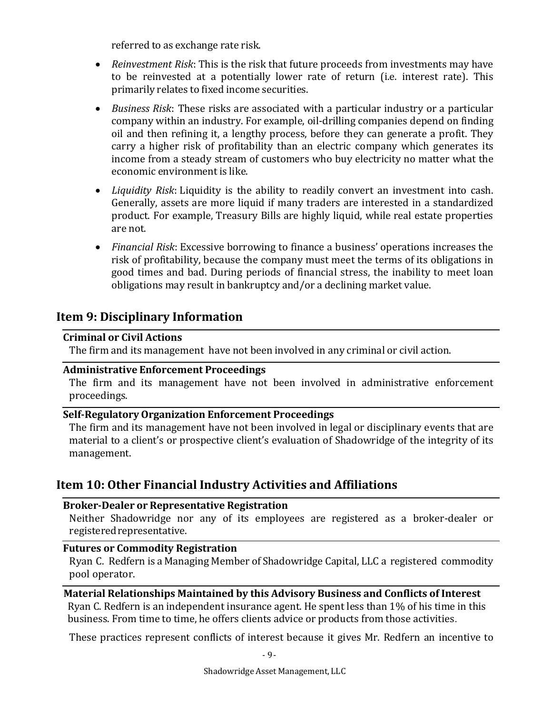referred to as exchange rate risk.

- *Reinvestment Risk*: This is the risk that future proceeds from investments may have to be reinvested at a potentially lower rate of return (i.e. interest rate). This primarily relates to fixed income securities.
- *Business Risk*: These risks are associated with a particular industry or a particular company within an industry. For example, oil-drilling companies depend on finding oil and then refining it, a lengthy process, before they can generate a profit. They carry a higher risk of profitability than an electric company which generates its income from a steady stream of customers who buy electricity no matter what the economic environment is like.
- *Liquidity Risk*: Liquidity is the ability to readily convert an investment into cash. Generally, assets are more liquid if many traders are interested in a standardized product. For example, Treasury Bills are highly liquid, while real estate properties are not.
- *Financial Risk*: Excessive borrowing to finance a business' operations increases the risk of profitability, because the company must meet the terms of its obligations in good times and bad. During periods of financial stress, the inability to meet loan obligations may result in bankruptcy and/or a declining market value.

## <span id="page-13-0"></span>**Item 9: Disciplinary Information**

#### **Criminal or Civil Actions**

The firm and its management have not been involved in any criminal or civil action.

#### <span id="page-13-1"></span>**Administrative Enforcement Proceedings**

The firm and its management have not been involved in administrative enforcement proceedings.

#### <span id="page-13-2"></span>**Self-Regulatory Organization Enforcement Proceedings**

The firm and its management have not been involved in legal or disciplinary events that are material to a client's or prospective client's evaluation of Shadowridge of the integrity of its management.

## <span id="page-13-3"></span>**Item 10: Other Financial Industry Activities and Affiliations**

#### <span id="page-13-4"></span>**Broker-Dealer or Representative Registration**

Neither Shadowridge nor any of its employees are registered as a broker-dealer or registered representative.

#### <span id="page-13-5"></span>**Futures or Commodity Registration**

Ryan C. Redfern is a Managing Member of Shadowridge Capital, LLC a registered commodity pool operator.

#### <span id="page-13-6"></span>**Material Relationships Maintained by this Advisory Business and Conflicts of Interest**

Ryan C. Redfern is an independent insurance agent. He spent less than 1% of his time in this business. From time to time, he offers clients advice or products from those activities.

These practices represent conflicts of interest because it gives Mr. Redfern an incentive to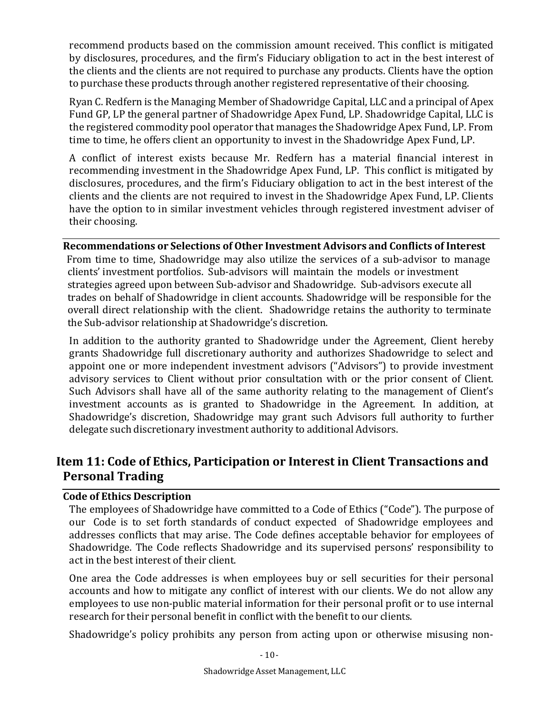recommend products based on the commission amount received. This conflict is mitigated by disclosures, procedures, and the firm's Fiduciary obligation to act in the best interest of the clients and the clients are not required to purchase any products. Clients have the option to purchase these products through another registered representative of their choosing.

Ryan C. Redfern is the Managing Member of Shadowridge Capital, LLC and a principal of Apex Fund GP, LP the general partner of Shadowridge Apex Fund, LP. Shadowridge Capital, LLC is the registered commodity pool operator that manages the Shadowridge Apex Fund, LP. From time to time, he offers client an opportunity to invest in the Shadowridge Apex Fund, LP.

A conflict of interest exists because Mr. Redfern has a material financial interest in recommending investment in the Shadowridge Apex Fund, LP. This conflict is mitigated by disclosures, procedures, and the firm's Fiduciary obligation to act in the best interest of the clients and the clients are not required to invest in the Shadowridge Apex Fund, LP. Clients have the option to in similar investment vehicles through registered investment adviser of their choosing.

#### <span id="page-14-0"></span>**Recommendations or Selections of Other Investment Advisors and Conflicts of Interest**

From time to time, Shadowridge may also utilize the services of a sub-advisor to manage clients' investment portfolios. Sub-advisors will maintain the models or investment strategies agreed upon between Sub-advisor and Shadowridge. Sub-advisors execute all trades on behalf of Shadowridge in client accounts. Shadowridge will be responsible for the overall direct relationship with the client. Shadowridge retains the authority to terminate the Sub-advisor relationship at Shadowridge's discretion.

In addition to the authority granted to Shadowridge under the Agreement, Client hereby grants Shadowridge full discretionary authority and authorizes Shadowridge to select and appoint one or more independent investment advisors ("Advisors") to provide investment advisory services to Client without prior consultation with or the prior consent of Client. Such Advisors shall have all of the same authority relating to the management of Client's investment accounts as is granted to Shadowridge in the Agreement. In addition, at Shadowridge's discretion, Shadowridge may grant such Advisors full authority to further delegate such discretionary investment authority to additional Advisors.

# <span id="page-14-1"></span>**Item 11: Code of Ethics, Participation or Interest in Client Transactions and Personal Trading**

#### <span id="page-14-2"></span>**Code of Ethics Description**

The employees of Shadowridge have committed to a Code of Ethics ("Code"). The purpose of our Code is to set forth standards of conduct expected of Shadowridge employees and addresses conflicts that may arise. The Code defines acceptable behavior for employees of Shadowridge. The Code reflects Shadowridge and its supervised persons' responsibility to act in the best interest of their client.

One area the Code addresses is when employees buy or sell securities for their personal accounts and how to mitigate any conflict of interest with our clients. We do not allow any employees to use non-public material information for their personal profit or to use internal research for their personal benefit in conflict with the benefit to our clients.

Shadowridge's policy prohibits any person from acting upon or otherwise misusing non-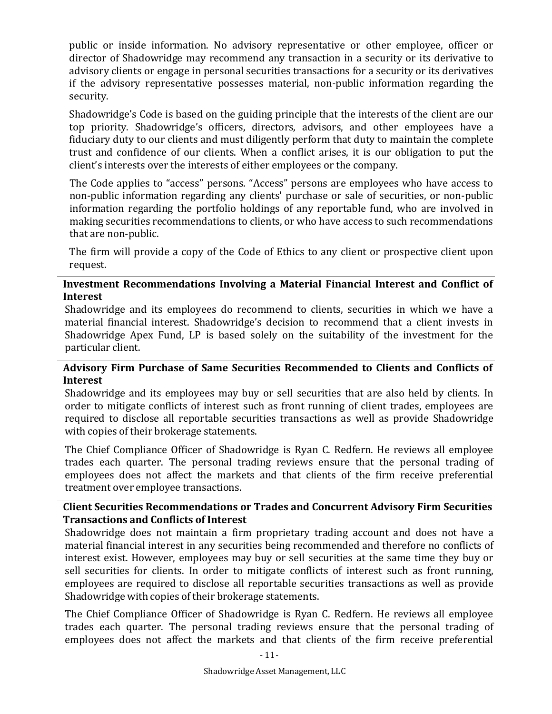public or inside information. No advisory representative or other employee, officer or director of Shadowridge may recommend any transaction in a security or its derivative to advisory clients or engage in personal securities transactions for a security or its derivatives if the advisory representative possesses material, non-public information regarding the security.

Shadowridge's Code is based on the guiding principle that the interests of the client are our top priority. Shadowridge's officers, directors, advisors, and other employees have a fiduciary duty to our clients and must diligently perform that duty to maintain the complete trust and confidence of our clients. When a conflict arises, it is our obligation to put the client's interests over the interests of either employees or the company.

The Code applies to "access" persons. "Access" persons are employees who have access to non-public information regarding any clients' purchase or sale of securities, or non-public information regarding the portfolio holdings of any reportable fund, who are involved in making securities recommendations to clients, or who have access to such recommendations that are non-public.

The firm will provide a copy of the Code of Ethics to any client or prospective client upon request.

#### <span id="page-15-0"></span>**Investment Recommendations Involving a Material Financial Interest and Conflict of Interest**

Shadowridge and its employees do recommend to clients, securities in which we have a material financial interest. Shadowridge's decision to recommend that a client invests in Shadowridge Apex Fund, LP is based solely on the suitability of the investment for the particular client.

#### <span id="page-15-1"></span>**Advisory Firm Purchase of Same Securities Recommended to Clients and Conflicts of Interest**

Shadowridge and its employees may buy or sell securities that are also held by clients. In order to mitigate conflicts of interest such as front running of client trades, employees are required to disclose all reportable securities transactions as well as provide Shadowridge with copies of their brokerage statements.

The Chief Compliance Officer of Shadowridge is Ryan C. Redfern. He reviews all employee trades each quarter. The personal trading reviews ensure that the personal trading of employees does not affect the markets and that clients of the firm receive preferential treatment over employee transactions.

#### <span id="page-15-2"></span>**Client Securities Recommendations or Trades and Concurrent Advisory Firm Securities Transactions and Conflicts of Interest**

Shadowridge does not maintain a firm proprietary trading account and does not have a material financial interest in any securities being recommended and therefore no conflicts of interest exist. However, employees may buy or sell securities at the same time they buy or sell securities for clients. In order to mitigate conflicts of interest such as front running, employees are required to disclose all reportable securities transactions as well as provide Shadowridge with copies of their brokerage statements.

The Chief Compliance Officer of Shadowridge is Ryan C. Redfern. He reviews all employee trades each quarter. The personal trading reviews ensure that the personal trading of employees does not affect the markets and that clients of the firm receive preferential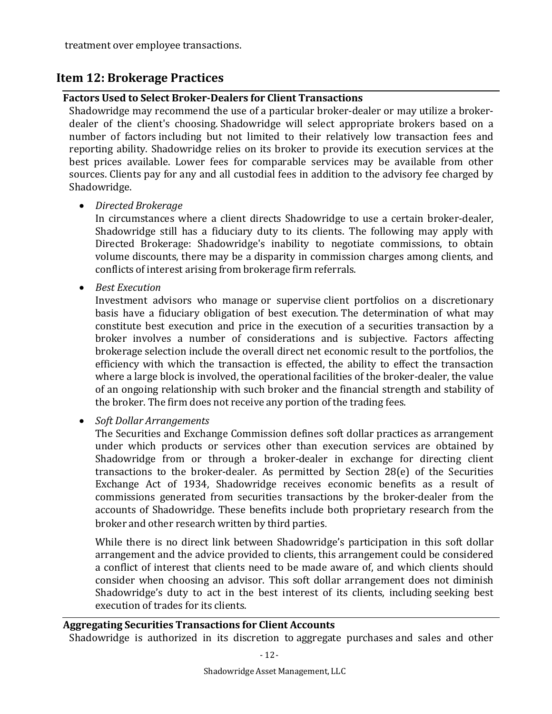# <span id="page-16-0"></span>**Item 12: Brokerage Practices**

#### <span id="page-16-1"></span>**Factors Used to Select Broker-Dealers for Client Transactions**

Shadowridge may recommend the use of a particular broker-dealer or may utilize a brokerdealer of the client's choosing. Shadowridge will select appropriate brokers based on a number of factors including but not limited to their relatively low transaction fees and reporting ability. Shadowridge relies on its broker to provide its execution services at the best prices available. Lower fees for comparable services may be available from other sources. Clients pay for any and all custodial fees in addition to the advisory fee charged by Shadowridge.

#### • *Directed Brokerage*

In circumstances where a client directs Shadowridge to use a certain broker-dealer, Shadowridge still has a fiduciary duty to its clients. The following may apply with Directed Brokerage: Shadowridge's inability to negotiate commissions, to obtain volume discounts, there may be a disparity in commission charges among clients, and conflicts of interest arising from brokerage firm referrals.

• *Best Execution*

Investment advisors who manage or supervise client portfolios on a discretionary basis have a fiduciary obligation of best execution. The determination of what may constitute best execution and price in the execution of a securities transaction by a broker involves a number of considerations and is subjective. Factors affecting brokerage selection include the overall direct net economic result to the portfolios, the efficiency with which the transaction is effected, the ability to effect the transaction where a large block is involved, the operational facilities of the broker-dealer, the value of an ongoing relationship with such broker and the financial strength and stability of the broker. The firm does not receive any portion of the trading fees.

• *Soft Dollar Arrangements*

The Securities and Exchange Commission defines soft dollar practices as arrangement under which products or services other than execution services are obtained by Shadowridge from or through a broker-dealer in exchange for directing client transactions to the broker-dealer. As permitted by Section 28(e) of the Securities Exchange Act of 1934, Shadowridge receives economic benefits as a result of commissions generated from securities transactions by the broker-dealer from the accounts of Shadowridge. These benefits include both proprietary research from the broker and other research written by third parties.

While there is no direct link between Shadowridge's participation in this soft dollar arrangement and the advice provided to clients, this arrangement could be considered a conflict of interest that clients need to be made aware of, and which clients should consider when choosing an advisor. This soft dollar arrangement does not diminish Shadowridge's duty to act in the best interest of its clients, including seeking best execution of trades for its clients.

## <span id="page-16-2"></span>**Aggregating Securities Transactions for Client Accounts** Shadowridge is authorized in its discretion to aggregate purchases and sales and other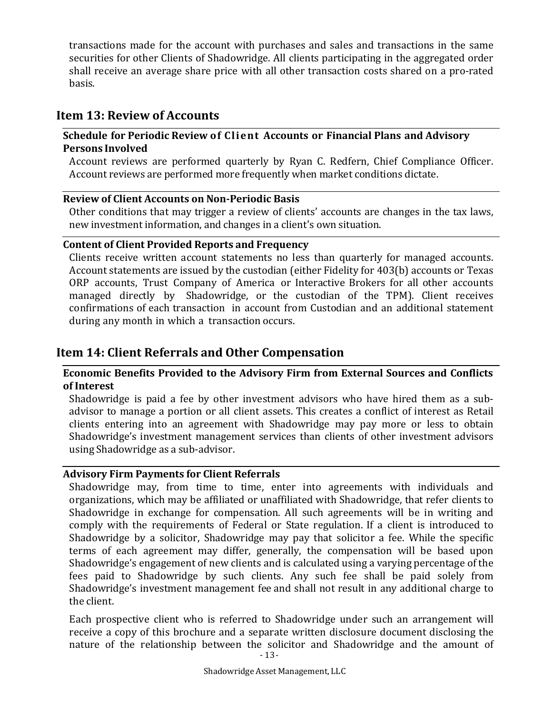transactions made for the account with purchases and sales and transactions in the same securities for other Clients of Shadowridge. All clients participating in the aggregated order shall receive an average share price with all other transaction costs shared on a pro-rated basis.

## <span id="page-17-0"></span>**Item 13: Review of Accounts**

#### <span id="page-17-1"></span>**Schedule for Periodic Review of Client Accounts or Financial Plans and Advisory Persons Involved**

Account reviews are performed quarterly by Ryan C. Redfern, Chief Compliance Officer. Account reviews are performed more frequently when market conditions dictate.

#### <span id="page-17-2"></span>**Review of Client Accounts on Non-Periodic Basis**

Other conditions that may trigger a review of clients' accounts are changes in the tax laws, new investment information, and changes in a client's own situation.

#### <span id="page-17-3"></span>**Content of Client Provided Reports and Frequency**

Clients receive written account statements no less than quarterly for managed accounts. Account statements are issued by the custodian (either Fidelity for 403(b) accounts or Texas ORP accounts, Trust Company of America or Interactive Brokers for all other accounts managed directly by Shadowridge, or the custodian of the TPM). Client receives confirmations of each transaction in account from Custodian and an additional statement during any month in which a transaction occurs.

# <span id="page-17-4"></span>**Item 14: Client Referrals and Other Compensation**

#### <span id="page-17-5"></span>**Economic Benefits Provided to the Advisory Firm from External Sources and Conflicts of Interest**

Shadowridge is paid a fee by other investment advisors who have hired them as a subadvisor to manage a portion or all client assets. This creates a conflict of interest as Retail clients entering into an agreement with Shadowridge may pay more or less to obtain Shadowridge's investment management services than clients of other investment advisors using Shadowridge as a sub-advisor.

#### <span id="page-17-6"></span>**Advisory Firm Payments for Client Referrals**

Shadowridge may, from time to time, enter into agreements with individuals and organizations, which may be affiliated or unaffiliated with Shadowridge, that refer clients to Shadowridge in exchange for compensation. All such agreements will be in writing and comply with the requirements of Federal or State regulation. If a client is introduced to Shadowridge by a solicitor, Shadowridge may pay that solicitor a fee. While the specific terms of each agreement may differ, generally, the compensation will be based upon Shadowridge's engagement of new clients and is calculated using a varying percentage of the fees paid to Shadowridge by such clients. Any such fee shall be paid solely from Shadowridge's investment management fee and shall not result in any additional charge to the client.

Each prospective client who is referred to Shadowridge under such an arrangement will receive a copy of this brochure and a separate written disclosure document disclosing the nature of the relationship between the solicitor and Shadowridge and the amount of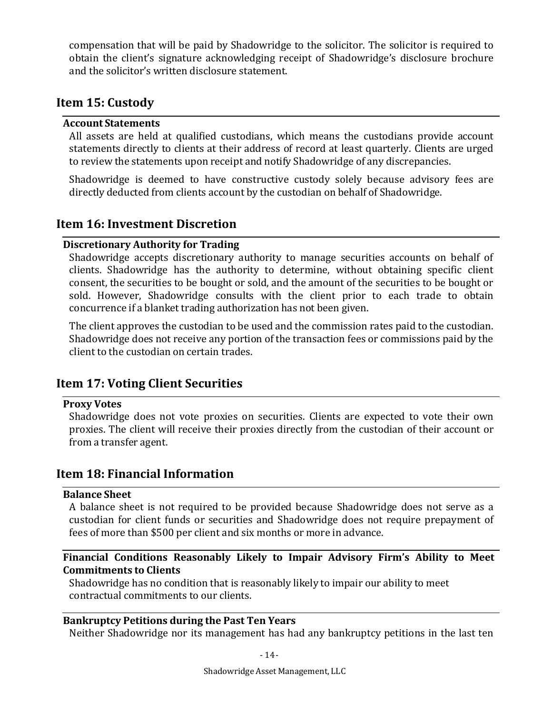compensation that will be paid by Shadowridge to the solicitor. The solicitor is required to obtain the client's signature acknowledging receipt of Shadowridge's disclosure brochure and the solicitor's written disclosure statement.

## <span id="page-18-0"></span>**Item 15: Custody**

#### <span id="page-18-1"></span>**Account Statements**

All assets are held at qualified custodians, which means the custodians provide account statements directly to clients at their address of record at least quarterly. Clients are urged to review the statements upon receipt and notify Shadowridge of any discrepancies.

Shadowridge is deemed to have constructive custody solely because advisory fees are directly deducted from clients account by the custodian on behalf of Shadowridge.

## <span id="page-18-2"></span>**Item 16: Investment Discretion**

#### <span id="page-18-3"></span>**Discretionary Authority for Trading**

Shadowridge accepts discretionary authority to manage securities accounts on behalf of clients. Shadowridge has the authority to determine, without obtaining specific client consent, the securities to be bought or sold, and the amount of the securities to be bought or sold. However, Shadowridge consults with the client prior to each trade to obtain concurrence if a blanket trading authorization has not been given.

The client approves the custodian to be used and the commission rates paid to the custodian. Shadowridge does not receive any portion of the transaction fees or commissions paid by the client to the custodian on certain trades.

# <span id="page-18-4"></span>**Item 17: Voting Client Securities**

#### <span id="page-18-5"></span>**Proxy Votes**

Shadowridge does not vote proxies on securities. Clients are expected to vote their own proxies. The client will receive their proxies directly from the custodian of their account or from a transfer agent.

## <span id="page-18-6"></span>**Item 18: Financial Information**

#### <span id="page-18-7"></span>**Balance Sheet**

A balance sheet is not required to be provided because Shadowridge does not serve as a custodian for client funds or securities and Shadowridge does not require prepayment of fees of more than \$500 per client and six months or more in advance.

#### <span id="page-18-9"></span><span id="page-18-8"></span>**Financial Conditions Reasonably Likely to Impair Advisory Firm's Ability to Meet Commitments to Clients**

Shadowridge has no condition that is reasonably likely to impair our ability to meet contractual commitments to our clients.

#### <span id="page-18-10"></span>**Bankruptcy Petitions during the Past Ten Years**

Neither Shadowridge nor its management has had any bankruptcy petitions in the last ten